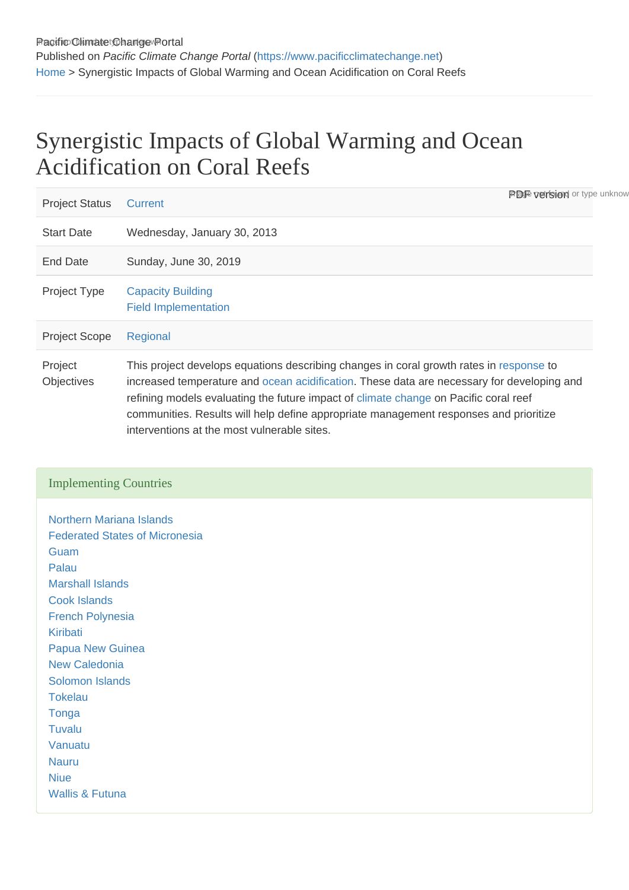## Synergistic Impacts of Global Warming and Ocean Acidification on Coral Reefs

| <b>Project Status</b> | <b>PDF</b> version or type unknow<br>Current                                                                                                                                                                                                                                                                                                                                                                          |
|-----------------------|-----------------------------------------------------------------------------------------------------------------------------------------------------------------------------------------------------------------------------------------------------------------------------------------------------------------------------------------------------------------------------------------------------------------------|
| <b>Start Date</b>     | Wednesday, January 30, 2013                                                                                                                                                                                                                                                                                                                                                                                           |
| <b>End Date</b>       | Sunday, June 30, 2019                                                                                                                                                                                                                                                                                                                                                                                                 |
| <b>Project Type</b>   | <b>Capacity Building</b><br><b>Field Implementation</b>                                                                                                                                                                                                                                                                                                                                                               |
| <b>Project Scope</b>  | Regional                                                                                                                                                                                                                                                                                                                                                                                                              |
| Project<br>Objectives | This project develops equations describing changes in coral growth rates in response to<br>increased temperature and ocean acidification. These data are necessary for developing and<br>refining models evaluating the future impact of climate change on Pacific coral reef<br>communities. Results will help define appropriate management responses and prioritize<br>interventions at the most vulnerable sites. |

## Implementing Countries

[Northern Mariana Islands](https://www.pacificclimatechange.net/node/9567) [Federated States of Micronesia](https://www.pacificclimatechange.net/node/9482) **[Guam](https://www.pacificclimatechange.net/node/9506)** [Palau](https://www.pacificclimatechange.net/node/57) [Marshall Islands](https://www.pacificclimatechange.net/node/53) [Cook Islands](https://www.pacificclimatechange.net/node/9481) [French Polynesia](https://www.pacificclimatechange.net/node/9566) [Kiribati](https://www.pacificclimatechange.net/node/52) [Papua New Guinea](https://www.pacificclimatechange.net/node/58) [New Caledonia](https://www.pacificclimatechange.net/node/9554) [Solomon Islands](https://www.pacificclimatechange.net/node/59) **[Tokelau](https://www.pacificclimatechange.net/node/60)** [Tonga](https://www.pacificclimatechange.net/node/61) [Tuvalu](https://www.pacificclimatechange.net/node/62) [Vanuatu](https://www.pacificclimatechange.net/node/63) [Nauru](https://www.pacificclimatechange.net/node/54) **[Niue](https://www.pacificclimatechange.net/node/55)** [Wallis & Futuna](https://www.pacificclimatechange.net/node/9568)